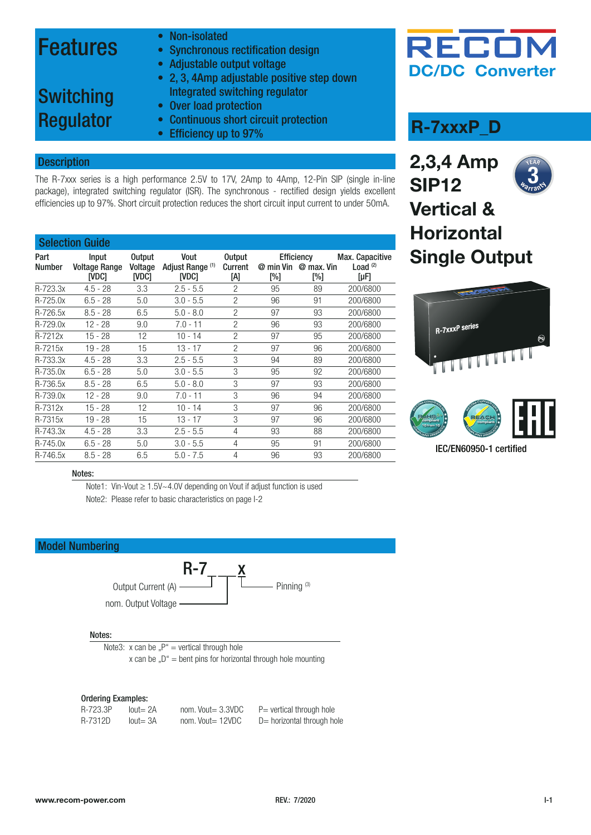### Features

- Non-isolated
- Synchronous rectification design
- Adjustable output voltage

### • 2, 3, 4Amp adjustable positive step down Integrated switching regulator

### **Switching Regulator**

- Over load protection
- Continuous short circuit protection
- Efficiency up to 97%

### **Description**

The R-7xxx series is a high performance 2.5V to 17V, 2Amp to 4Amp, 12-Pin SIP (single in-line package), integrated switching regulator (ISR). The synchronous - rectified design yields excellent efficiencies up to 97%. Short circuit protection reduces the short circuit input current to under 50mA.

|                       | <b>Selection Guide</b>                        |                                   |                                   |                                 |                  |                                        |                                            |
|-----------------------|-----------------------------------------------|-----------------------------------|-----------------------------------|---------------------------------|------------------|----------------------------------------|--------------------------------------------|
| Part<br><b>Number</b> | Input<br><b>Voltage Range</b><br><b>IVDC1</b> | <b>Output</b><br>Voltage<br>[VDC] | Vout<br>Adjust Range (1)<br>[VDC] | <b>Output</b><br>Current<br>[A] | @ min Vin<br>[%] | <b>Efficiency</b><br>@ max. Vin<br>[%] | Max. Capacitive<br>Load $(2)$<br>$[\mu F]$ |
| R-723.3x              | $4.5 - 28$                                    | 3.3                               | $2.5 - 5.5$                       | $\overline{2}$                  | 95               | 89                                     | 200/6800                                   |
| R-725.0x              | $6.5 - 28$                                    | 5.0                               | $3.0 - 5.5$                       | $\overline{2}$                  | 96               | 91                                     | 200/6800                                   |
| R-726.5x              | $8.5 - 28$                                    | 6.5                               | $5.0 - 8.0$                       | $\overline{2}$                  | 97               | 93                                     | 200/6800                                   |
| R-729.0x              | 12 - 28                                       | 9.0                               | $7.0 - 11$                        | $\overline{2}$                  | 96               | 93                                     | 200/6800                                   |
| R-7212x               | 15 - 28                                       | 12                                | $10 - 14$                         | $\overline{2}$                  | 97               | 95                                     | 200/6800                                   |
| R-7215x               | 19 - 28                                       | 15                                | $13 - 17$                         | $\overline{2}$                  | 97               | 96                                     | 200/6800                                   |
| R-733.3x              | $4.5 - 28$                                    | 3.3                               | $2.5 - 5.5$                       | 3                               | 94               | 89                                     | 200/6800                                   |
| R-735.0x              | $6.5 - 28$                                    | 5.0                               | $3.0 - 5.5$                       | 3                               | 95               | 92                                     | 200/6800                                   |
| R-736.5x              | $8.5 - 28$                                    | 6.5                               | $5.0 - 8.0$                       | 3                               | 97               | 93                                     | 200/6800                                   |
| R-739.0x              | 12 - 28                                       | 9.0                               | $7.0 - 11$                        | 3                               | 96               | 94                                     | 200/6800                                   |
| R-7312x               | $15 - 28$                                     | 12                                | $10 - 14$                         | 3                               | 97               | 96                                     | 200/6800                                   |
| R-7315x               | $19 - 28$                                     | 15                                | 13 - 17                           | 3                               | 97               | 96                                     | 200/6800                                   |
| R-743.3x              | $4.5 - 28$                                    | 3.3                               | $2.5 - 5.5$                       | 4                               | 93               | 88                                     | 200/6800                                   |
| R-745.0x              | $6.5 - 28$                                    | 5.0                               | $3.0 - 5.5$                       | 4                               | 95               | 91                                     | 200/6800                                   |
| R-746.5x              | $8.5 - 28$                                    | 6.5                               | $5.0 - 7.5$                       | 4                               | 96               | 93                                     | 200/6800                                   |



### **R-7xxxP\_D**





**Vertical & Horizontal Single Output**



IEC/EN60950-1 certified  $\frac{1}{2}$ 

 $\frac{1}{2}$ 

compliant 10 from 10 REACH compliant

### Notes:

Note1: Vin-Vout ≥ 1.5V~4.0V depending on Vout if adjust function is used Note2: Please refer to basic characteristics on page I-2

### Model Numbering



#### Notes:

Note3:  $x$  can be "P" = vertical through hole x can be  $D'' =$  bent pins for horizontal through hole mounting

#### Ordering Examples:

| R-723.3P | $l$ out= 2A | nom. $Vout = 3.3VDC$ | P= vertical through hole   |
|----------|-------------|----------------------|----------------------------|
| R-7312D  | $Iout = 3A$ | nom. Vout= 12VDC     | D= horizontal through hole |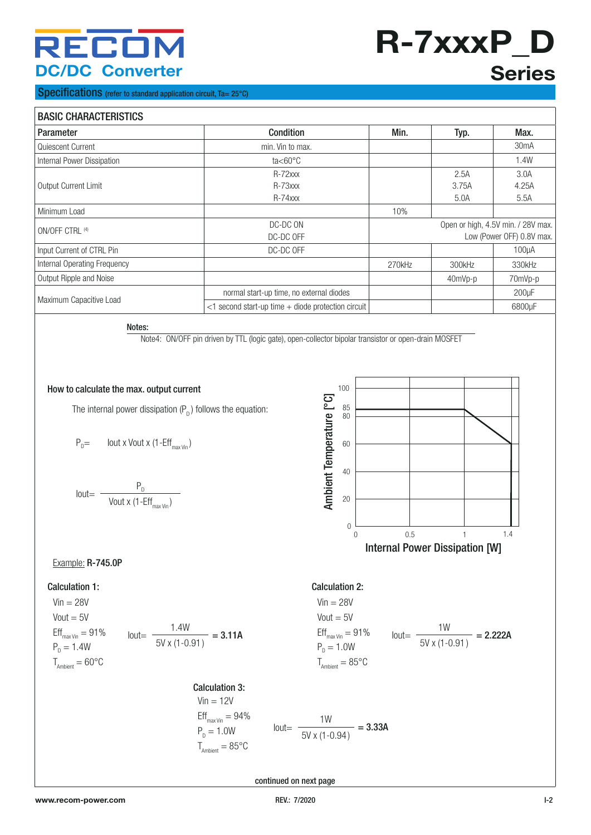# RECOM **DC/DC Converter**

### Specifications (refer to standard application circuit, Ta= 25°C)

# **R-7xxxP\_D Series**

| Parameter                    | Condition                                               | Min.   | Typ.    | Max.                               |
|------------------------------|---------------------------------------------------------|--------|---------|------------------------------------|
| Quiescent Current            | min. Vin to max.                                        |        |         | 30 <sub>m</sub> A                  |
| Internal Power Dissipation   | $ta < 60^{\circ}$ C                                     |        |         | 1.4W                               |
|                              | $R-72$ xxx                                              |        | 2.5A    | 3.0A                               |
| Output Current Limit         | $R-73$ xxx                                              |        | 3.75A   | 4.25A                              |
|                              | $R-74$ xxx                                              |        | 5.0A    | 5.5A                               |
| Minimum Load                 |                                                         | 10%    |         |                                    |
|                              | DC-DC ON                                                |        |         | Open or high, 4.5V min. / 28V max. |
| ON/OFF CTRL <sup>(4)</sup>   | DC-DC OFF                                               |        |         | Low (Power OFF) 0.8V max.          |
| Input Current of CTRL Pin    | DC-DC OFF                                               |        |         | 100 <sub>U</sub> A                 |
| Internal Operating Frequency |                                                         | 270kHz | 300kHz  | 330kHz                             |
| Output Ripple and Noise      |                                                         |        | 40mVp-p | 70mVp-p                            |
|                              | normal start-up time, no external diodes                |        |         | $200 \mu F$                        |
| Maximum Capacitive Load      | $<$ 1 second start-up time $+$ diode protection circuit |        |         | 6800µF                             |

Notes:

Note4: ON/OFF pin driven by TTL (logic gate), open-collector bipolar transistor or open-drain MOSFET

### How to calculate the max. output current

The internal power dissipation  $(P_p)$  follows the equation:

$$
P_D = \qquad \text{lout } x \text{ Vout } x \text{ (1-Eff}_{\text{max Vin}})
$$

$$
lout = \frac{P_D}{Vout \times (1 - Eff_{max \, V_{in}})}
$$



### Example: R-745.0P

### Calculation 1: Calculation 2:

| $V$ in = 28V                       |             |               |           |
|------------------------------------|-------------|---------------|-----------|
| Vout $= 5V$                        |             |               |           |
| $Eff_{max \, Vin} = 91\%$          | $l$ out $=$ | 1.4W          | $= 3.11A$ |
| $P_{n} = 1.4W$                     |             | 5V x (1-0.91) |           |
| $T_{\text{Ambient}} = 60^{\circ}C$ |             |               |           |

### Calculation 3:

Vin = 12V Effmax Vin = 94% PD = 1.0W TAmbient = 85°C Iout= 1W = 3.33A 5V x (1-0.94 )

 $Vin = 28V$  $V$ out =  $5V$ 

 $P_p = 1.0W$ 

$$
T_{\text{Ambient}} = 85^{\circ}C
$$

Eff<sub>max Vin</sub> = 91%  $I_{\text{Dult}} = \frac{100 \text{ V}}{50 \times (1 - 0.91)} = 2.222 \text{ A}$ 

continued on next page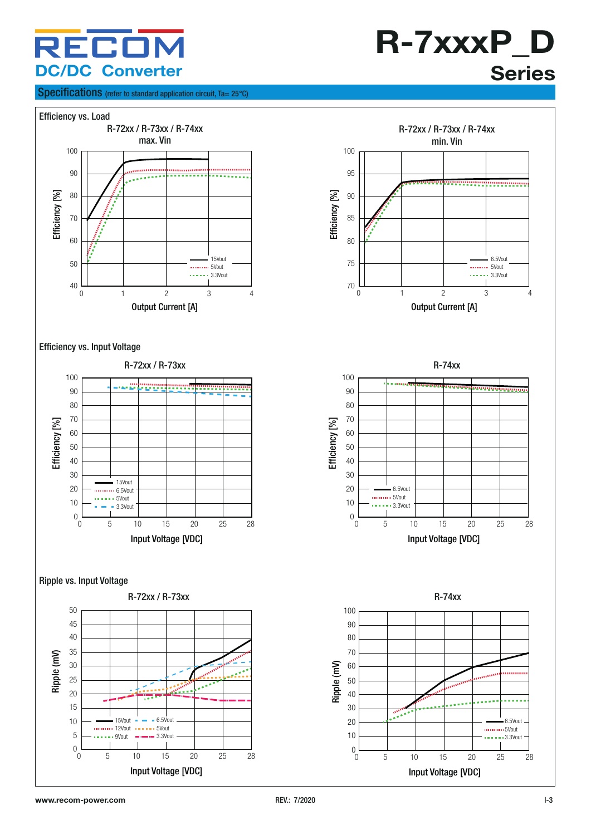# RECOI **DC/DC Converter**

### Specifications (refer to standard application circuit, Ta= 25°C)

**R-7xxxP\_D Series**

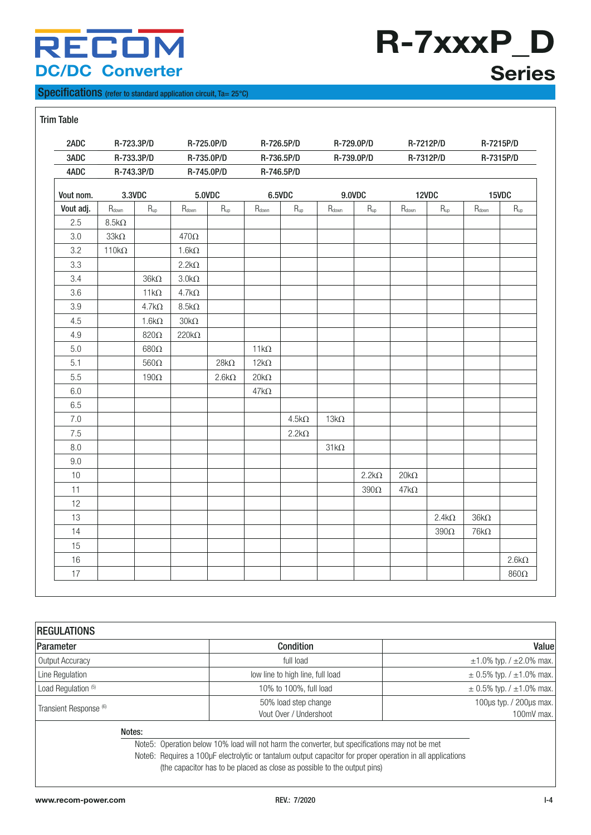### Specifications (refer to standard application circuit, Ta= 25°C)



### Trim Table

| 2ADC      |              | R-723.3P/D<br>R-725.0P/D<br>R-726.5P/D |                               | R-729.0P/D<br>R-7212P/D |                   |                 |             | R-7215P/D    |             |              |             |                 |
|-----------|--------------|----------------------------------------|-------------------------------|-------------------------|-------------------|-----------------|-------------|--------------|-------------|--------------|-------------|-----------------|
| 3ADC      | R-733.3P/D   |                                        |                               | R-735.0P/D              |                   | R-736.5P/D      |             | R-739.0P/D   |             | R-7312P/D    |             | R-7315P/D       |
| 4ADC      | R-743.3P/D   |                                        |                               | R-745.0P/D              |                   | R-746.5P/D      |             |              |             |              |             |                 |
| Vout nom. | 3.3VDC       |                                        |                               | 5.0VDC                  |                   | 6.5VDC          |             | 9.0VDC       |             | 12VDC        |             | 15VDC           |
| Vout adj. | $R_{down}$   | $R_{up}$                               | $R_{\hbox{\scriptsize down}}$ | $R_{up}$                | $R_{\text{down}}$ | $R_{\text{up}}$ | $R_{down}$  | $R_{up}$     | $R_{down}$  | $R_{up}$     | $R_{down}$  | $R_{\text{up}}$ |
| 2.5       | $8.5k\Omega$ |                                        |                               |                         |                   |                 |             |              |             |              |             |                 |
| 3.0       | $33k\Omega$  |                                        | $470\Omega$                   |                         |                   |                 |             |              |             |              |             |                 |
| 3.2       | $110k\Omega$ |                                        | $1.6k\Omega$                  |                         |                   |                 |             |              |             |              |             |                 |
| 3.3       |              |                                        | $2.2k\Omega$                  |                         |                   |                 |             |              |             |              |             |                 |
| 3.4       |              | $36k\Omega$                            | $3.0k\Omega$                  |                         |                   |                 |             |              |             |              |             |                 |
| 3.6       |              | $11k\Omega$                            | $4.7k\Omega$                  |                         |                   |                 |             |              |             |              |             |                 |
| 3.9       |              | $4.7k\Omega$                           | $8.5k\Omega$                  |                         |                   |                 |             |              |             |              |             |                 |
| 4.5       |              | $1.6k\Omega$                           | $30k\Omega$                   |                         |                   |                 |             |              |             |              |             |                 |
| 4.9       |              | 820 $\Omega$                           | $220k\Omega$                  |                         |                   |                 |             |              |             |              |             |                 |
| 5.0       |              | 680 $\Omega$                           |                               |                         | $11k\Omega$       |                 |             |              |             |              |             |                 |
| 5.1       |              | $560\Omega$                            |                               | $28k\Omega$             | $12k\Omega$       |                 |             |              |             |              |             |                 |
| 5.5       |              | 190 $\Omega$                           |                               | $2.6k\Omega$            | $20k\Omega$       |                 |             |              |             |              |             |                 |
| $6.0\,$   |              |                                        |                               |                         | $47k\Omega$       |                 |             |              |             |              |             |                 |
| 6.5       |              |                                        |                               |                         |                   |                 |             |              |             |              |             |                 |
| $7.0\,$   |              |                                        |                               |                         |                   | $4.5k\Omega$    | $13k\Omega$ |              |             |              |             |                 |
| 7.5       |              |                                        |                               |                         |                   | $2.2k\Omega$    |             |              |             |              |             |                 |
| 8.0       |              |                                        |                               |                         |                   |                 | $31k\Omega$ |              |             |              |             |                 |
| 9.0       |              |                                        |                               |                         |                   |                 |             |              |             |              |             |                 |
| 10        |              |                                        |                               |                         |                   |                 |             | $2.2k\Omega$ | $20k\Omega$ |              |             |                 |
| 11        |              |                                        |                               |                         |                   |                 |             | $390\Omega$  | $47k\Omega$ |              |             |                 |
| 12        |              |                                        |                               |                         |                   |                 |             |              |             |              |             |                 |
| 13        |              |                                        |                               |                         |                   |                 |             |              |             | $2.4k\Omega$ | $36k\Omega$ |                 |
| 14        |              |                                        |                               |                         |                   |                 |             |              |             | $390\Omega$  | $76k\Omega$ |                 |
| 15        |              |                                        |                               |                         |                   |                 |             |              |             |              |             |                 |
| 16        |              |                                        |                               |                         |                   |                 |             |              |             |              |             | $2.6k\Omega$    |
| 17        |              |                                        |                               |                         |                   |                 |             |              |             |              |             | $860\Omega$     |

| <b>REGULATIONS</b>                |                                  |                                     |  |  |  |  |
|-----------------------------------|----------------------------------|-------------------------------------|--|--|--|--|
| Parameter                         | <b>Condition</b>                 | Value                               |  |  |  |  |
| Output Accuracy                   | full load                        | $\pm 1.0\%$ typ. / $\pm 2.0\%$ max. |  |  |  |  |
| Line Regulation                   | low line to high line, full load | $\pm$ 0.5% typ. / $\pm$ 1.0% max.   |  |  |  |  |
| Load Regulation (5)               | 10% to 100%, full load           | $\pm$ 0.5% typ. / $\pm$ 1.0% max.   |  |  |  |  |
| Transient Response <sup>(6)</sup> | 50% load step change             | 100µs typ. / 200µs max.             |  |  |  |  |
|                                   | Vout Over / Undershoot           | 100mV max.                          |  |  |  |  |
| $N = 1 - 1$                       |                                  |                                     |  |  |  |  |

Notes:

Note5: Operation below 10% load will not harm the converter, but specifications may not be met

Note6: Requires a 100µF electrolytic or tantalum output capacitor for proper operation in all applications

(the capacitor has to be placed as close as possible to the output pins)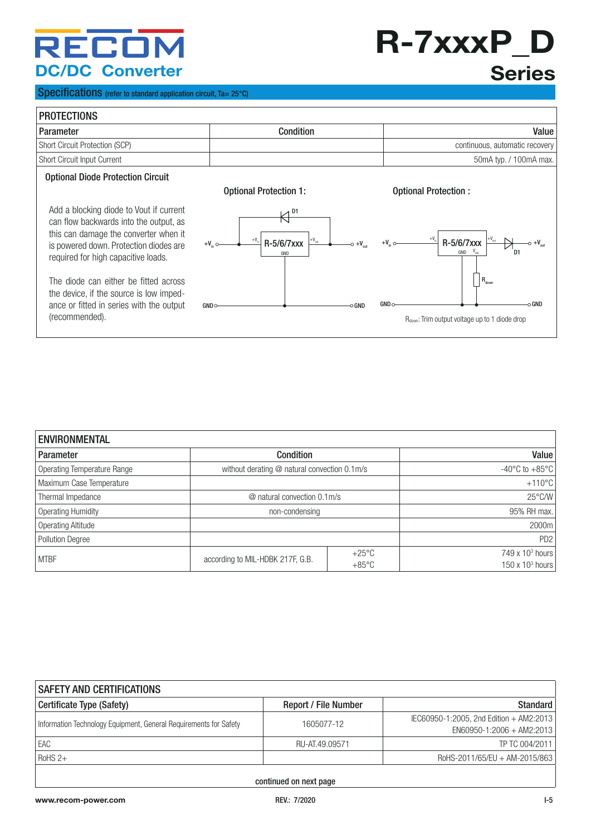## RECO **DC/DC Converter**

### Specifications (refer to standard application circuit, Ta= 25°C)

# **R-7xxxP\_D Series**

### **PROTECTIONS** Parameter Condition Value Short Circuit Protection (SCP) **continuous**, automatic recovery Short Circuit Input Current **100mA** max. Optional Diode Protection Circuit Add a blocking diode to Vout if current can flow backwards into the output, as  $H^{\text{D1}}$ Optional Protection 1: Optional Protection :

this can damage the converter when it is powered down. Protection diodes are required for high capacitive loads.

The diode can either be fitted across the device, if the source is low impedance or fitted in series with the output



| <b>ENVIRONMENTAL</b>        |                                              |                 |                                    |  |  |  |  |
|-----------------------------|----------------------------------------------|-----------------|------------------------------------|--|--|--|--|
| Parameter                   | Condition                                    |                 | Value                              |  |  |  |  |
| Operating Temperature Range | without derating @ natural convection 0.1m/s |                 | $-40^{\circ}$ C to $+85^{\circ}$ C |  |  |  |  |
| Maximum Case Temperature    |                                              |                 |                                    |  |  |  |  |
| Thermal Impedance           | @ natural convection 0.1m/s                  | 25°C/W          |                                    |  |  |  |  |
| Operating Humidity          | non-condensing                               | 95% RH max.     |                                    |  |  |  |  |
| Operating Altitude          |                                              |                 | 2000m                              |  |  |  |  |
| Pollution Degree            |                                              |                 | PD <sub>2</sub>                    |  |  |  |  |
| <b>MTBF</b>                 | according to MIL-HDBK 217F, G.B.             | $+25^{\circ}$ C | 749 x 10 <sup>3</sup> hours        |  |  |  |  |
|                             |                                              | $+85^{\circ}$ C | $150 \times 10^3$ hours            |  |  |  |  |

| <b>SAFETY AND CERTIFICATIONS</b>                                  |                             |                                         |  |  |  |  |
|-------------------------------------------------------------------|-----------------------------|-----------------------------------------|--|--|--|--|
| Certificate Type (Safety)                                         | <b>Report / File Number</b> | Standard                                |  |  |  |  |
| Information Technology Equipment, General Requirements for Safety | 1605077-12                  | IEC60950-1:2005, 2nd Edition + AM2:2013 |  |  |  |  |
|                                                                   |                             | $EN60950-1:2006 + AM2:2013$             |  |  |  |  |
| , EAC                                                             | RU-AT.49.09571              | TP TC 004/2011                          |  |  |  |  |
| $RoHS 2+$                                                         |                             | RoHS-2011/65/EU + AM-2015/863           |  |  |  |  |
|                                                                   |                             |                                         |  |  |  |  |

continued on next page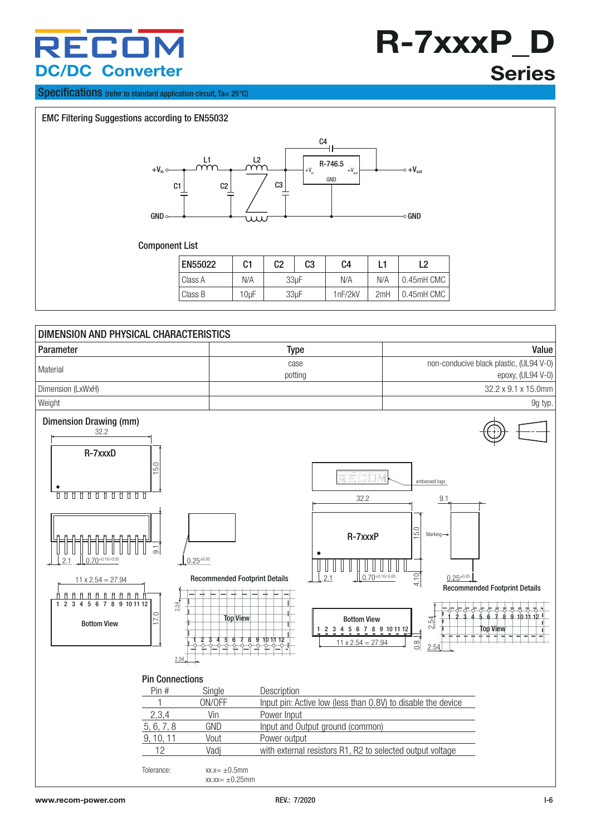# RECI **DC/DC Converter**

**R-7xxxP\_D Series**

### Specifications (refer to standard application circuit, Ta= 25°C)















### Pin Connections

 $.54$ 

| Pin#       | Single                                  | Description                                                  |
|------------|-----------------------------------------|--------------------------------------------------------------|
|            | ON/OFF                                  | Input pin: Active low (less than 0.8V) to disable the device |
| 2,3,4      | Vin                                     | Power Input                                                  |
| 5, 6, 7, 8 | GND                                     | Input and Output ground (common)                             |
| 9, 10, 11  | Vout                                    | Power output                                                 |
| 12         | Vadi                                    | with external resistors R1, R2 to selected output voltage    |
| Tolerance: | $xx.x = +0.5mm$<br>$XX.X = \pm 0.25$ mm |                                                              |